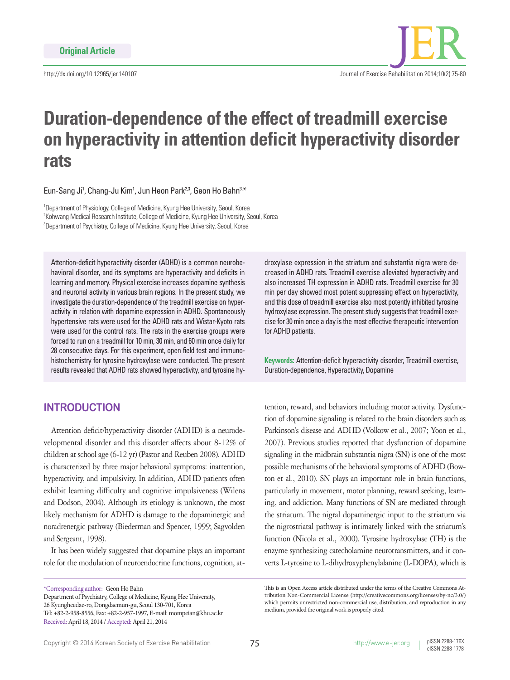http://dx.doi.org/10.12965/jer.140107



# **Duration-dependence of the effect of treadmill exercise on hyperactivity in attention deficit hyperactivity disorder rats**

Eun-Sang Ji<sup>1</sup>, Chang-Ju Kim<sup>1</sup>, Jun Heon Park<sup>2,3</sup>, Geon Ho Bahn<sup>3,\*</sup>

<sup>1</sup>Department of Physiology, College of Medicine, Kyung Hee University, Seoul, Korea 2 Kohwang Medical Research Institute, College of Medicine, Kyung Hee University, Seoul, Korea <sup>3</sup>Department of Psychiatry, College of Medicine, Kyung Hee University, Seoul, Korea

Attention-deficit hyperactivity disorder (ADHD) is a common neurobehavioral disorder, and its symptoms are hyperactivity and deficits in learning and memory. Physical exercise increases dopamine synthesis and neuronal activity in various brain regions. In the present study, we investigate the duration-dependence of the treadmill exercise on hyperactivity in relation with dopamine expression in ADHD. Spontaneously hypertensive rats were used for the ADHD rats and Wistar-Kyoto rats were used for the control rats. The rats in the exercise groups were forced to run on a treadmill for 10 min, 30 min, and 60 min once daily for 28 consecutive days. For this experiment, open field test and immunohistochemistry for tyrosine hydroxylase were conducted. The present results revealed that ADHD rats showed hyperactivity, and tyrosine hy-

# **INTRODUCTION**

Attention deficit/hyperactivity disorder (ADHD) is a neurodevelopmental disorder and this disorder affects about 8-12% of children at school age (6-12 yr) (Pastor and Reuben 2008). ADHD is characterized by three major behavioral symptoms: inattention, hyperactivity, and impulsivity. In addition, ADHD patients often exhibit learning difficulty and cognitive impulsiveness (Wilens and Dodson, 2004). Although its etiology is unknown, the most likely mechanism for ADHD is damage to the dopaminergic and noradrenergic pathway (Biederman and Spencer, 1999; Sagvolden and Sergeant, 1998).

It has been widely suggested that dopamine plays an important role for the modulation of neuroendocrine functions, cognition, at-

\*Corresponding author: Geon Ho Bahn

Department of Psychiatry, College of Medicine, Kyung Hee University, 26 Kyungheedae-ro, Dongdaemun-gu, Seoul 130-701, Korea Tel: +82-2-958-8556, Fax: +82-2-957-1997, E-mail: mompeian@khu.ac.kr Received: April 18, 2014 / Accepted: April 21, 2014

droxylase expression in the striatum and substantia nigra were decreased in ADHD rats. Treadmill exercise alleviated hyperactivity and also increased TH expression in ADHD rats. Treadmill exercise for 30 min per day showed most potent suppressing effect on hyperactivity, and this dose of treadmill exercise also most potently inhibited tyrosine hydroxylase expression. The present study suggests that treadmill exercise for 30 min once a day is the most effective therapeutic intervention for ADHD patients.

**Keywords:** Attention-deficit hyperactivity disorder, Treadmill exercise, Duration-dependence, Hyperactivity, Dopamine

tention, reward, and behaviors including motor activity. Dysfunction of dopamine signaling is related to the brain disorders such as Parkinson's disease and ADHD (Volkow et al., 2007; Yoon et al., 2007). Previous studies reported that dysfunction of dopamine signaling in the midbrain substantia nigra (SN) is one of the most possible mechanisms of the behavioral symptoms of ADHD (Bowton et al., 2010). SN plays an important role in brain functions, particularly in movement, motor planning, reward seeking, learning, and addiction. Many functions of SN are mediated through the striatum. The nigral dopaminergic input to the striatum via the nigrostriatal pathway is intimately linked with the striatum's function (Nicola et al., 2000). Tyrosine hydroxylase (TH) is the enzyme synthesizing catecholamine neurotransmitters, and it converts L-tyrosine to L-dihydroxyphenylalanine (L-DOPA), which is

This is an Open Access article distributed under the terms of the Creative Commons Attribution Non-Commercial License (http://creativecommons.org/licenses/by-nc/3.0/) which permits unrestricted non-commercial use, distribution, and reproduction in any medium, provided the original work is properly cited.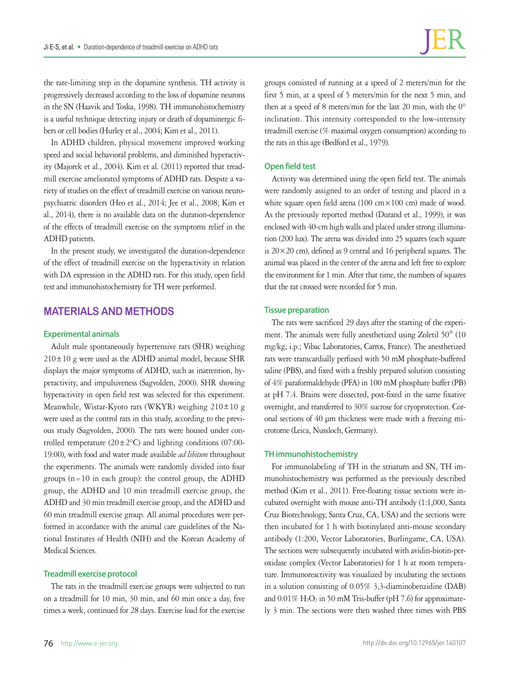the rate-limiting step in the dopamine synthesis. TH activity is progressively decreased according to the loss of dopamine neurons in the SN (Haavik and Toska, 1998). TH immunohistochemistry is a useful technique detecting injury or death of dopaminergic fibers or cell bodies (Hurley et al., 2004; Kim et al., 2011).

In ADHD children, physical movement improved working speed and social behavioral problems, and diminished hyperactivity (Majorek et al., 2004). Kim et al. (2011) reported that treadmill exercise ameliorated symptoms of ADHD rats. Despite a variety of studies on the effect of treadmill exercise on various neuropsychiatric disorders (Heo et al., 2014; Jee et al., 2008; Kim et al., 2014), there is no available data on the duration-dependence of the effects of treadmill exercise on the symptoms relief in the ADHD patients.

In the present study, we investigated the duration-dependence of the effect of treadmill exercise on the hyperactivity in relation with DA expression in the ADHD rats. For this study, open field test and immunohistochemistry for TH were performed.

# **MATERIALS AND METHODS**

## **Experimental animals**

Adult male spontaneously hypertensive rats (SHR) weighing  $210 \pm 10$  g were used as the ADHD animal model, because SHR displays the major symptoms of ADHD, such as inattention, hyperactivity, and impulsiveness (Sagvolden, 2000). SHR showing hyperactivity in open field test was selected for this experiment. Meanwhile, Wistar-Kyoto rats (WKYR) weighing 210±10 g were used as the control rats in this study, according to the previous study (Sagvolden, 2000). The rats were housed under controlled temperature  $(20 \pm 2^{\circ}C)$  and lighting conditions (07:00-19:00), with food and water made available *ad libitum* throughout the experiments. The animals were randomly divided into four groups ( $n=10$  in each group): the control group, the ADHD group, the ADHD and 10 min treadmill exercise group, the ADHD and 30 min treadmill exercise group, and the ADHD and 60 min treadmill exercise group. All animal procedures were performed in accordance with the animal care guidelines of the National Institutes of Health (NIH) and the Korean Academy of Medical Sciences.

## **Treadmill exercise protocol**

The rats in the treadmill exercise groups were subjected to run on a treadmill for 10 min, 30 min, and 60 min once a day, five times a week, continued for 28 days. Exercise load for the exercise

groups consisted of running at a speed of 2 meters/min for the first 5 min, at a speed of 5 meters/min for the next 5 min, and then at a speed of 8 meters/min for the last 20 min, with the 0° inclination. This intensity corresponded to the low-intensity treadmill exercise (% maximal oxygen consumption) according to the rats in this age (Bedford et al., 1979).

## **Open field test**

Activity was determined using the open field test. The animals were randomly assigned to an order of testing and placed in a white square open field arena (100 cm × 100 cm) made of wood. As the previously reported method (Durand et al., 1999), it was enclosed with 40-cm high walls and placed under strong illumination (200 lux). The arena was divided into 25 squares (each square is  $20 \times 20$  cm), defined as 9 central and 16 peripheral squares. The animal was placed in the center of the arena and left free to explore the environment for 1 min. After that time, the numbers of squares that the rat crossed were recorded for 5 min.

## **Tissue preparation**

The rats were sacrificed 29 days after the starting of the experiment. The animals were fully anesthetized using Zoletil 50® (10 mg/kg, i.p.; Vibac Laboratories, Carros, France). The anesthetized rats were transcardially perfused with 50 mM phosphate-buffered saline (PBS), and fixed with a freshly prepared solution consisting of 4% paraformaldehyde (PFA) in 100 mM phosphate buffer (PB) at pH 7.4. Brains were dissected, post-fixed in the same fixative overnight, and transferred to 30% sucrose for cryoprotection. Coronal sections of 40 μm thickness were made with a freezing microtome (Leica, Nussloch, Germany).

#### **TH immunohistochemistry**

For immunolabeling of TH in the striatum and SN, TH immunohistochemistry was performed as the previously described method (Kim et al., 2011). Free-floating tissue sections were incubated overnight with mouse anti-TH antibody (1:1,000, Santa Cruz Biotechnology, Santa Cruz, CA, USA) and the sections were then incubated for 1 h with biotinylated anti-mouse secondary antibody (1:200, Vector Laboratories, Burlingame, CA, USA). The sections were subsequently incubated with avidin-biotin-peroxidase complex (Vector Laboratories) for 1 h at room temperature. Immunoreactivity was visualized by incubating the sections in a solution consisting of 0.05% 3,3-diaminobenzidine (DAB) and  $0.01\%$  H<sub>2</sub>O<sub>2</sub> in 50 mM Tris-buffer (pH 7.6) for approximately 3 min. The sections were then washed three times with PBS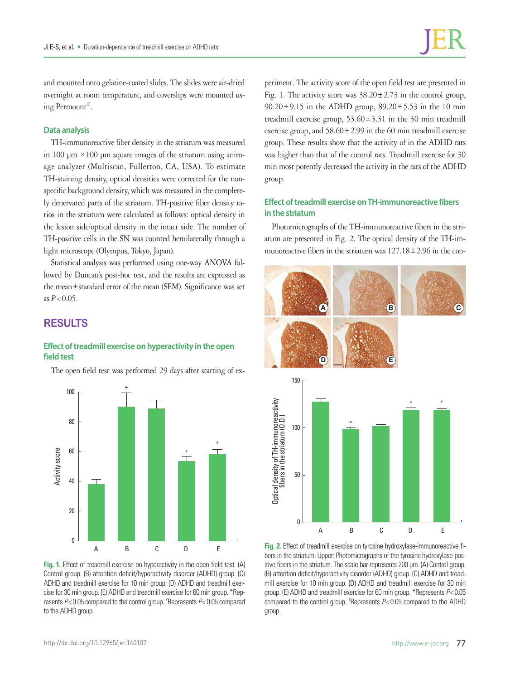and mounted onto gelatine-coated slides. The slides were air-dried overnight at room temperature, and coverslips were mounted using Permount®.

## **Data analysis**

TH-immunoreactive fiber density in the striatum was measured in 100  $\mu$ m ×100  $\mu$ m square images of the striatum using animage analyzer (Multiscan, Fullerton, CA, USA). To estimate TH-staining density, optical densities were corrected for the nonspecific background density, which was measured in the completely denervated parts of the striatum. TH-positive fiber density ratios in the striatum were calculated as follows: optical density in the lesion side/optical density in the intact side. The number of TH-positive cells in the SN was counted hemilaterally through a light microscope (Olympus, Tokyo, Japan).

Statistical analysis was performed using one-way ANOVA followed by Duncan's post-hoc test, and the results are expressed as the mean±standard error of the mean (SEM). Significance was set as  $P < 0.05$ .

# **RESULTS**

## **Effect of treadmill exercise on hyperactivity in the open field test**

The open field test was performed 29 days after starting of ex-



**Fig. 1.** Effect of treadmill exercise on hyperactivity in the open field test. (A) Control group. (B) attention deficit/hyperactivity disorder (ADHD) group. (C) ADHD and treadmill exercise for 10 min group. (D) ADHD and treadmill exercise for 30 min group. (E) ADHD and treadmill exercise for 60 min group. \*Represents *P*< 0.05 compared to the control group. # Represents *P*< 0.05 compared to the ADHD group.

periment. The activity score of the open field test are presented in Fig. 1. The activity score was  $38.20 \pm 2.73$  in the control group,  $90.20 \pm 9.15$  in the ADHD group,  $89.20 \pm 5.53$  in the 10 min treadmill exercise group,  $53.60 \pm 3.31$  in the 30 min treadmill exercise group, and  $58.60 \pm 2.99$  in the 60 min treadmill exercise group. These results show that the activity of in the ADHD rats was higher than that of the control rats. Treadmill exercise for 30 min most potently decreased the activity in the rats of the ADHD group.

## **Effect of treadmill exercise on TH-immunoreactive fibers in the striatum**

Photomicrographs of the TH-immunoreactive fibers in the striatum are presented in Fig. 2. The optical density of the TH-immunoreactive fibers in the striatum was 127.18±2.96 in the con-



**Fig. 2.** Effect of treadmill exercise on tyrosine hydroxylase-immunoreactive fibers in the striatum. Upper: Photomicrographs of the tyrosine hydroxylase-positive fibers in the striatum. The scale bar represents 200 µm. (A) Control group. (B) attention deficit/hyperactivity disorder (ADHD) group. (C) ADHD and treadmill exercise for 10 min group. (D) ADHD and treadmill exercise for 30 min group. (E) ADHD and treadmill exercise for 60 min group. \*Represents *P*< 0.05 compared to the control group. # Represents *P*< 0.05 compared to the ADHD group.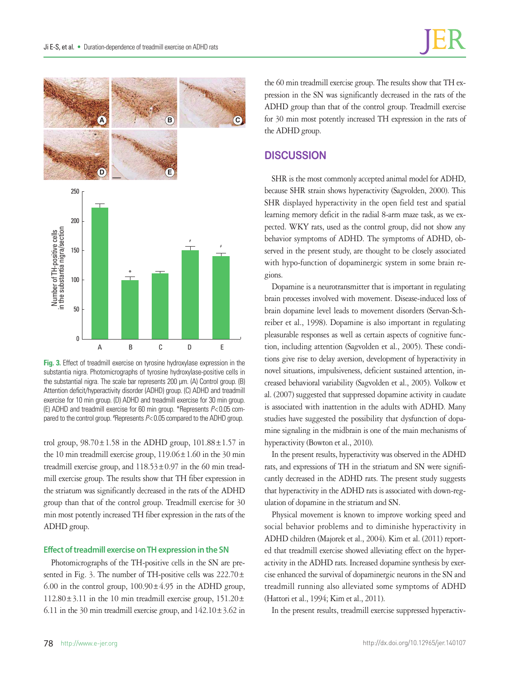

**Fig. 3.** Effect of treadmill exercise on tyrosine hydroxylase expression in the substantia nigra. Photomicrographs of tyrosine hydroxylase-positive cells in the substantial nigra. The scale bar represents 200 µm. (A) Control group. (B) Attention deficit/hyperactivity disorder (ADHD) group. (C) ADHD and treadmill exercise for 10 min group. (D) ADHD and treadmill exercise for 30 min group. (E) ADHD and treadmill exercise for 60 min group. \*Represents *P*< 0.05 compared to the control group. #Represents  $P < 0.05$  compared to the ADHD group.

trol group,  $98.70 \pm 1.58$  in the ADHD group,  $101.88 \pm 1.57$  in the 10 min treadmill exercise group,  $119.06 \pm 1.60$  in the 30 min treadmill exercise group, and  $118.53 \pm 0.97$  in the 60 min treadmill exercise group. The results show that TH fiber expression in the striatum was significantly decreased in the rats of the ADHD group than that of the control group. Treadmill exercise for 30 min most potently increased TH fiber expression in the rats of the ADHD group.

## **Effect of treadmill exercise on TH expression in the SN**

Photomicrographs of the TH-positive cells in the SN are presented in Fig. 3. The number of TH-positive cells was 222.70 ± 6.00 in the control group,  $100.90 \pm 4.95$  in the ADHD group,  $112.80 \pm 3.11$  in the 10 min treadmill exercise group,  $151.20 \pm 1.1$ 6.11 in the 30 min treadmill exercise group, and  $142.10 \pm 3.62$  in

the 60 min treadmill exercise group. The results show that TH expression in the SN was significantly decreased in the rats of the ADHD group than that of the control group. Treadmill exercise for 30 min most potently increased TH expression in the rats of the ADHD group.

# **DISCUSSION**

SHR is the most commonly accepted animal model for ADHD, because SHR strain shows hyperactivity (Sagvolden, 2000). This SHR displayed hyperactivity in the open field test and spatial learning memory deficit in the radial 8-arm maze task, as we expected. WKY rats, used as the control group, did not show any behavior symptoms of ADHD. The symptoms of ADHD, observed in the present study, are thought to be closely associated with hypo-function of dopaminergic system in some brain regions.

Dopamine is a neurotransmitter that is important in regulating brain processes involved with movement. Disease-induced loss of brain dopamine level leads to movement disorders (Servan-Schreiber et al., 1998). Dopamine is also important in regulating pleasurable responses as well as certain aspects of cognitive function, including attention (Sagvolden et al., 2005). These conditions give rise to delay aversion, development of hyperactivity in novel situations, impulsiveness, deficient sustained attention, increased behavioral variability (Sagvolden et al., 2005). Volkow et al. (2007) suggested that suppressed dopamine activity in caudate is associated with inattention in the adults with ADHD. Many studies have suggested the possibility that dysfunction of dopamine signaling in the midbrain is one of the main mechanisms of hyperactivity (Bowton et al., 2010).

In the present results, hyperactivity was observed in the ADHD rats, and expressions of TH in the striatum and SN were significantly decreased in the ADHD rats. The present study suggests that hyperactivity in the ADHD rats is associated with down-regulation of dopamine in the striatum and SN.

Physical movement is known to improve working speed and social behavior problems and to diminishe hyperactivity in ADHD children (Majorek et al., 2004). Kim et al. (2011) reported that treadmill exercise showed alleviating effect on the hyperactivity in the ADHD rats. Increased dopamine synthesis by exercise enhanced the survival of dopaminergic neurons in the SN and treadmill running also alleviated some symptoms of ADHD (Hattori et al., 1994; Kim et al., 2011).

In the present results, treadmill exercise suppressed hyperactiv-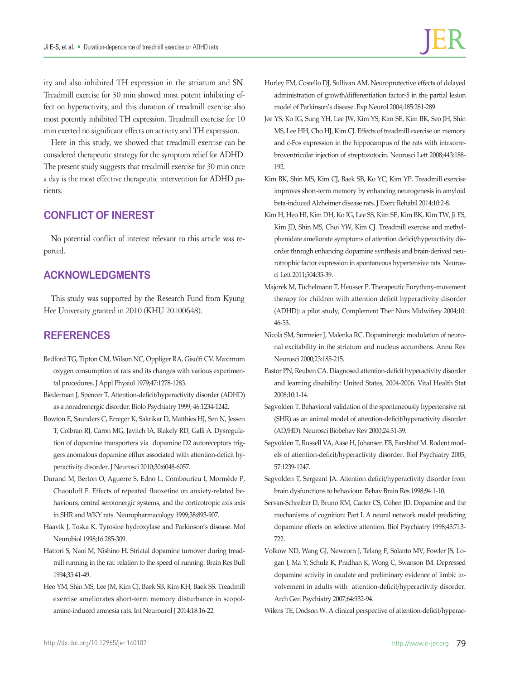ity and also inhibited TH expression in the striatum and SN. Treadmill exercise for 30 min showed most potent inhibiting effect on hyperactivity, and this duration of treadmill exercise also most potently inhibited TH expression. Treadmill exercise for 10 min exerted no significant effects on activity and TH expression.

Here in this study, we showed that treadmill exercise can be considered therapeutic strategy for the symptom relief for ADHD. The present study suggests that treadmill exercise for 30 min once a day is the most effective therapeutic intervention for ADHD patients.

# **CONFLICT OF INEREST**

No potential conflict of interest relevant to this article was reported.

# **ACKNOWLEDGMENTS**

This study was supported by the Research Fund from Kyung Hee University granted in 2010 (KHU 20100648).

# **REFERENCES**

- Bedford TG, Tipton CM, Wilson NC, Oppliger RA, Gisolfi CV. Maximum oxygen consumption of rats and its changes with various experimental procedures. J Appl Physiol 1979;47:1278-1283.
- Biederman J, Spencer T. Attention-deficit/hyperactivity disorder (ADHD) as a noradrenergic disorder. Biolo Psychiatry 1999; 46:1234-1242.
- Bowton E, Saunders C, Erreger K, Sakrikar D, Matthies HJ, Sen N, Jessen T, Colbran RJ, Caron MG, Javitch JA, Blakely RD, Galli A. Dysregulation of dopamine transporters via dopamine D2 autoreceptors triggers anomalous dopamine efflux associated with attention-deficit hyperactivity disorder. J Neurosci 2010;30:6048-6057.
- Durand M, Berton O, Aguerre S, Edno L, Combourieu I, Mormède P, Chaouloff F. Effects of repeated fluoxetine on anxiety-related behaviours, central serotonergic systems, and the corticotropic axis axis in SHR and WKY rats. Neuropharmacology 1999;38:893-907.
- Haavik J, Toska K. Tyrosine hydroxylase and Parkinson's disease. Mol Neurobiol 1998;16:285-309.
- Hattori S, Naoi M, Nishino H. Striatal dopamine turnover during treadmill running in the rat: relation to the speed of running. Brain Res Bull 1994;35:41-49.
- Heo YM, Shin MS, Lee JM, Kim CJ, Baek SB, Kim KH, Baek SS. Treadmill exercise ameliorates short-term memory disturbance in scopolamine-induced amnesia rats. Int Neurourol J 2014;18:16-22.

Jee YS, Ko IG, Sung YH, Lee JW, Kim YS, Kim SE, Kim BK, Seo JH, Shin MS, Lee HH, Cho HJ, Kim CJ. Effects of treadmill exercise on memory and c-Fos expression in the hippocampus of the rats with intracerebroventricular injection of streptozotocin. Neurosci Lett 2008;443:188- 192.

model of Parkinson's disease. Exp Neurol 2004;185:281-289.

- Kim BK, Shin MS, Kim CJ, Baek SB, Ko YC, Kim YP. Treadmill exercise improves short-term memory by enhancing neurogenesis in amyloid beta-induced Alzheimer disease rats. J Exerc Rehabil 2014;10:2-8.
- Kim H, Heo HI, Kim DH, Ko IG, Lee SS, Kim SE, Kim BK, Kim TW, Ji ES, Kim JD, Shin MS, Choi YW, Kim CJ. Treadmill exercise and methylphenidate ameliorate symptoms of attention deficit/hyperactivity disorder through enhancing dopamine synthesis and brain-derived neurotrophic factor expression in spontaneous hypertensive rats. Neurosci Lett 2011;504:35-39.
- Majorek M, Tüchelmann T, Heusser P. Therapeutic Eurythmy-movement therapy for children with attention deficit hyperactivity disorder (ADHD): a pilot study, Complement Ther Nurs Midwifery 2004;10: 46-53.
- Nicola SM, Surmeier J, Malenka RC. Dopaminergic modulation of neuronal excitability in the striatum and nucleus accumbens. Annu Rev Neurosci 2000;23:185-215.
- Pastor PN, Reuben CA. Diagnosed attention-deficit hyperactivity disorder and learning disability: United States, 2004-2006. Vital Health Stat 2008;10:1-14.
- Sagvolden T. Behavioral validation of the spontaneously hypertensive rat (SHR) as an animal model of attention-deficit/hyperactivity disorder (AD/HD). Neurosci Biobehav Rev 2000;24:31-39.
- Sagvolden T, Russell VA, Aase H, Johansen EB, Farshbaf M. Rodent models of attention-deficit/hyperactivity disorder. Biol Psychiatry 2005; 57:1239-1247.
- Sagvolden T, Sergeant JA. Attention deficit/hyperactivity disorder from brain dysfunctions to behaviour. Behav Brain Res 1998;94:1-10.
- Servan-Schreiber D, Bruno RM, Carter CS, Cohen JD. Dopamine and the mechanisms of cognition: Part I. A neural network model predicting dopamine effects on selective attention. Biol Psychiatry 1998;43:713- 722.
- Volkow ND, Wang GJ, Newcorn J, Telang F, Solanto MV, Fowler JS, Logan J, Ma Y, Schulz K, Pradhan K, Wong C, Swanson JM. Depressed dopamine activity in caudate and preliminary evidence of limbic involvement in adults with attention-deficit/hyperactivity disorder. Arch Gen Psychiatry 2007;64:932-94.

Wilens TE, Dodson W. A clinical perspective of attention-deficit/hyperac-